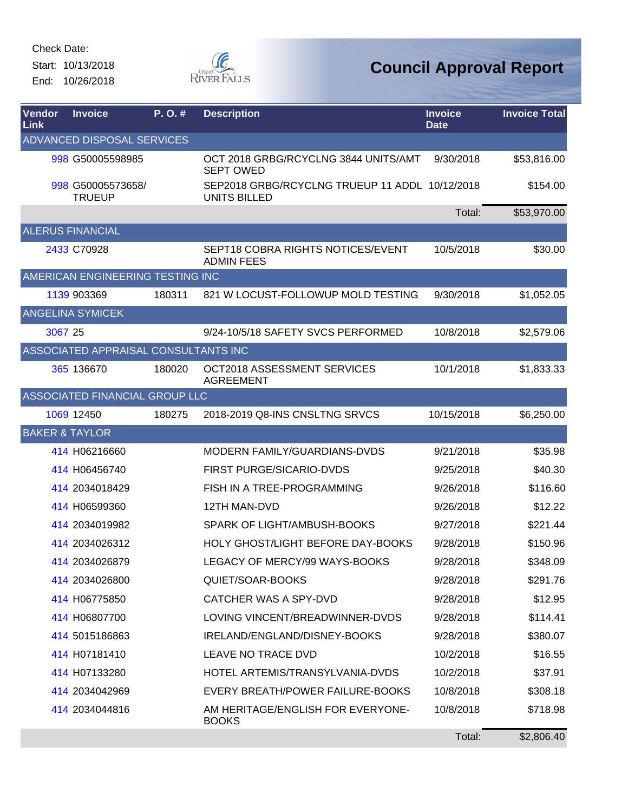Start: 10/13/2018 End: 10/26/2018



| Vendor<br>Link            | <b>Invoice</b>                       | P.O.#  | <b>Description</b>                                             | <b>Invoice</b><br><b>Date</b> | <b>Invoice Total</b> |
|---------------------------|--------------------------------------|--------|----------------------------------------------------------------|-------------------------------|----------------------|
|                           | <b>ADVANCED DISPOSAL SERVICES</b>    |        |                                                                |                               |                      |
|                           | 998 G50005598985                     |        | OCT 2018 GRBG/RCYCLNG 3844 UNITS/AMT<br><b>SEPT OWED</b>       | 9/30/2018                     | \$53,816.00          |
|                           | 998 G50005573658/<br><b>TRUEUP</b>   |        | SEP2018 GRBG/RCYCLNG TRUEUP 11 ADDL 10/12/2018<br>UNITS BILLED |                               | \$154.00             |
|                           |                                      |        |                                                                | Total:                        | \$53,970.00          |
|                           | <b>ALERUS FINANCIAL</b>              |        |                                                                |                               |                      |
|                           | 2433 C70928                          |        | SEPT18 COBRA RIGHTS NOTICES/EVENT<br><b>ADMIN FEES</b>         | 10/5/2018                     | \$30.00              |
|                           | AMERICAN ENGINEERING TESTING INC     |        |                                                                |                               |                      |
|                           | 1139 903369                          | 180311 | 821 W LOCUST-FOLLOWUP MOLD TESTING                             | 9/30/2018                     | \$1,052.05           |
|                           | <b>ANGELINA SYMICEK</b>              |        |                                                                |                               |                      |
| 3067 25                   |                                      |        | 9/24-10/5/18 SAFETY SVCS PERFORMED                             | 10/8/2018                     | \$2,579.06           |
|                           | ASSOCIATED APPRAISAL CONSULTANTS INC |        |                                                                |                               |                      |
|                           | 365 136670                           | 180020 | OCT2018 ASSESSMENT SERVICES<br><b>AGREEMENT</b>                | 10/1/2018                     | \$1,833.33           |
|                           | ASSOCIATED FINANCIAL GROUP LLC       |        |                                                                |                               |                      |
|                           | 1069 12450                           | 180275 | 2018-2019 Q8-INS CNSLTNG SRVCS                                 | 10/15/2018                    | \$6,250.00           |
| <b>BAKER &amp; TAYLOR</b> |                                      |        |                                                                |                               |                      |
|                           | 414 H06216660                        |        | MODERN FAMILY/GUARDIANS-DVDS                                   | 9/21/2018                     | \$35.98              |
|                           | 414 H06456740                        |        | FIRST PURGE/SICARIO-DVDS                                       | 9/25/2018                     | \$40.30              |
|                           | 414 2034018429                       |        | FISH IN A TREE-PROGRAMMING                                     | 9/26/2018                     | \$116.60             |
|                           | 414 H06599360                        |        | <b>12TH MAN-DVD</b>                                            | 9/26/2018                     | \$12.22              |
|                           | 414 2034019982                       |        | SPARK OF LIGHT/AMBUSH-BOOKS                                    | 9/27/2018                     | \$221.44             |
|                           | 414 2034026312                       |        | HOLY GHOST/LIGHT BEFORE DAY-BOOKS                              | 9/28/2018                     | \$150.96             |
|                           | 414 2034026879                       |        | LEGACY OF MERCY/99 WAYS-BOOKS                                  | 9/28/2018                     | \$348.09             |
|                           | 414 2034026800                       |        | QUIET/SOAR-BOOKS                                               | 9/28/2018                     | \$291.76             |
|                           | 414 H06775850                        |        | <b>CATCHER WAS A SPY-DVD</b>                                   | 9/28/2018                     | \$12.95              |
|                           | 414 H06807700                        |        | LOVING VINCENT/BREADWINNER-DVDS                                | 9/28/2018                     | \$114.41             |
|                           | 414 5015186863                       |        | IRELAND/ENGLAND/DISNEY-BOOKS                                   | 9/28/2018                     | \$380.07             |
|                           | 414 H07181410                        |        | LEAVE NO TRACE DVD                                             | 10/2/2018                     | \$16.55              |
|                           | 414 H07133280                        |        | HOTEL ARTEMIS/TRANSYLVANIA-DVDS                                | 10/2/2018                     | \$37.91              |
|                           | 414 2034042969                       |        | EVERY BREATH/POWER FAILURE-BOOKS                               | 10/8/2018                     | \$308.18             |
|                           | 414 2034044816                       |        | AM HERITAGE/ENGLISH FOR EVERYONE-<br><b>BOOKS</b>              | 10/8/2018                     | \$718.98             |
|                           |                                      |        |                                                                | Total:                        | \$2,806.40           |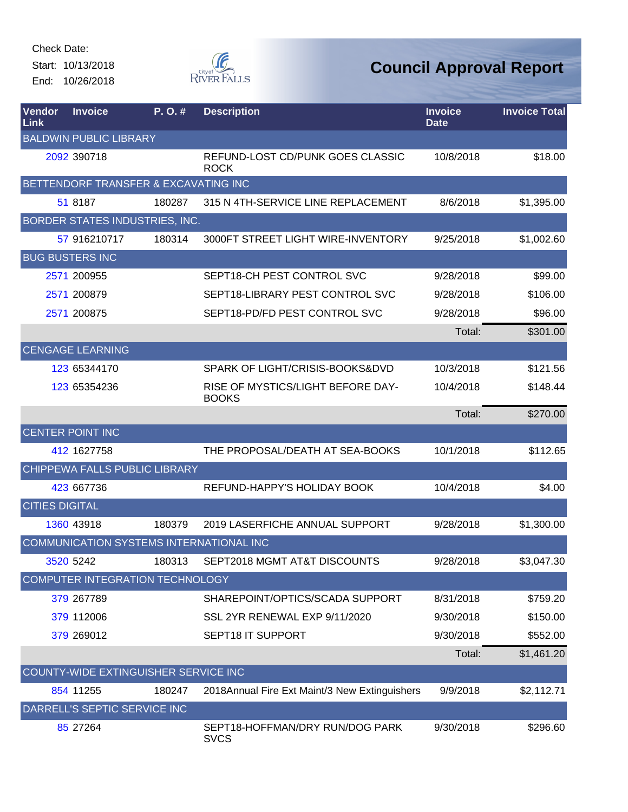Start: 10/13/2018 End: 10/26/2018



| Vendor<br>Link         | <b>Invoice</b>                          | P.O.#  | <b>Description</b>                                | <b>Invoice</b><br><b>Date</b> | <b>Invoice Total</b> |
|------------------------|-----------------------------------------|--------|---------------------------------------------------|-------------------------------|----------------------|
|                        | <b>BALDWIN PUBLIC LIBRARY</b>           |        |                                                   |                               |                      |
|                        | 2092 390718                             |        | REFUND-LOST CD/PUNK GOES CLASSIC<br><b>ROCK</b>   | 10/8/2018                     | \$18.00              |
|                        | BETTENDORF TRANSFER & EXCAVATING INC    |        |                                                   |                               |                      |
|                        | 51 8187                                 | 180287 | 315 N 4TH-SERVICE LINE REPLACEMENT                | 8/6/2018                      | \$1,395.00           |
|                        | <b>BORDER STATES INDUSTRIES, INC.</b>   |        |                                                   |                               |                      |
|                        | 57 916210717                            | 180314 | 3000FT STREET LIGHT WIRE-INVENTORY                | 9/25/2018                     | \$1,002.60           |
| <b>BUG BUSTERS INC</b> |                                         |        |                                                   |                               |                      |
|                        | 2571 200955                             |        | SEPT18-CH PEST CONTROL SVC                        | 9/28/2018                     | \$99.00              |
|                        | 2571 200879                             |        | SEPT18-LIBRARY PEST CONTROL SVC                   | 9/28/2018                     | \$106.00             |
|                        | 2571 200875                             |        | SEPT18-PD/FD PEST CONTROL SVC                     | 9/28/2018                     | \$96.00              |
|                        |                                         |        |                                                   | Total:                        | \$301.00             |
|                        | <b>CENGAGE LEARNING</b>                 |        |                                                   |                               |                      |
|                        | 123 65344170                            |        | SPARK OF LIGHT/CRISIS-BOOKS&DVD                   | 10/3/2018                     | \$121.56             |
|                        | 123 65354236                            |        | RISE OF MYSTICS/LIGHT BEFORE DAY-<br><b>BOOKS</b> | 10/4/2018                     | \$148.44             |
|                        |                                         |        |                                                   | Total:                        | \$270.00             |
|                        | <b>CENTER POINT INC</b>                 |        |                                                   |                               |                      |
|                        | 412 1627758                             |        | THE PROPOSAL/DEATH AT SEA-BOOKS                   | 10/1/2018                     | \$112.65             |
|                        | CHIPPEWA FALLS PUBLIC LIBRARY           |        |                                                   |                               |                      |
|                        | 423 667736                              |        | REFUND-HAPPY'S HOLIDAY BOOK                       | 10/4/2018                     | \$4.00               |
| <b>CITIES DIGITAL</b>  |                                         |        |                                                   |                               |                      |
|                        | 1360 43918                              | 180379 | 2019 LASERFICHE ANNUAL SUPPORT                    | 9/28/2018                     | \$1,300.00           |
|                        | COMMUNICATION SYSTEMS INTERNATIONAL INC |        |                                                   |                               |                      |
|                        | 3520 5242                               |        | 180313 SEPT2018 MGMT AT&T DISCOUNTS               | 9/28/2018                     | \$3,047.30           |
|                        | <b>COMPUTER INTEGRATION TECHNOLOGY</b>  |        |                                                   |                               |                      |
|                        | 379 267789                              |        | SHAREPOINT/OPTICS/SCADA SUPPORT                   | 8/31/2018                     | \$759.20             |
|                        | 379 112006                              |        | SSL 2YR RENEWAL EXP 9/11/2020                     | 9/30/2018                     | \$150.00             |
|                        | 379 269012                              |        | <b>SEPT18 IT SUPPORT</b>                          | 9/30/2018                     | \$552.00             |
|                        |                                         |        |                                                   | Total:                        | \$1,461.20           |
|                        | COUNTY-WIDE EXTINGUISHER SERVICE INC    |        |                                                   |                               |                      |
|                        | 854 11255                               | 180247 | 2018Annual Fire Ext Maint/3 New Extinguishers     | 9/9/2018                      | \$2,112.71           |
|                        | DARRELL'S SEPTIC SERVICE INC            |        |                                                   |                               |                      |
|                        | 85 27 264                               |        | SEPT18-HOFFMAN/DRY RUN/DOG PARK<br><b>SVCS</b>    | 9/30/2018                     | \$296.60             |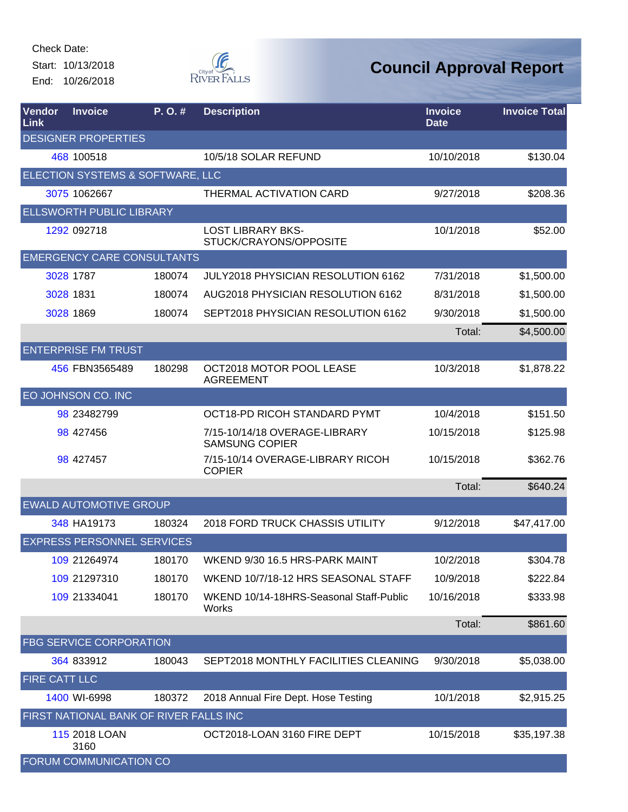Start: 10/13/2018 End: 10/26/2018



| Vendor<br><b>Link</b> | <b>Invoice</b>                         | P.O.#  | <b>Description</b>                                     | <b>Invoice</b><br><b>Date</b> | <b>Invoice Total</b> |
|-----------------------|----------------------------------------|--------|--------------------------------------------------------|-------------------------------|----------------------|
|                       | <b>DESIGNER PROPERTIES</b>             |        |                                                        |                               |                      |
|                       | 468 100518                             |        | 10/5/18 SOLAR REFUND                                   | 10/10/2018                    | \$130.04             |
|                       | ELECTION SYSTEMS & SOFTWARE, LLC       |        |                                                        |                               |                      |
|                       | 3075 1062667                           |        | THERMAL ACTIVATION CARD                                | 9/27/2018                     | \$208.36             |
|                       | <b>ELLSWORTH PUBLIC LIBRARY</b>        |        |                                                        |                               |                      |
|                       | 1292 092718                            |        | <b>LOST LIBRARY BKS-</b><br>STUCK/CRAYONS/OPPOSITE     | 10/1/2018                     | \$52.00              |
|                       | <b>EMERGENCY CARE CONSULTANTS</b>      |        |                                                        |                               |                      |
|                       | 3028 1787                              | 180074 | JULY2018 PHYSICIAN RESOLUTION 6162                     | 7/31/2018                     | \$1,500.00           |
|                       | 3028 1831                              | 180074 | AUG2018 PHYSICIAN RESOLUTION 6162                      | 8/31/2018                     | \$1,500.00           |
|                       | 3028 1869                              | 180074 | SEPT2018 PHYSICIAN RESOLUTION 6162                     | 9/30/2018                     | \$1,500.00           |
|                       |                                        |        |                                                        | Total:                        | \$4,500.00           |
|                       | <b>ENTERPRISE FM TRUST</b>             |        |                                                        |                               |                      |
|                       | 456 FBN3565489                         | 180298 | OCT2018 MOTOR POOL LEASE<br><b>AGREEMENT</b>           | 10/3/2018                     | \$1,878.22           |
|                       | EO JOHNSON CO. INC                     |        |                                                        |                               |                      |
|                       | 98 23482799                            |        | OCT18-PD RICOH STANDARD PYMT                           | 10/4/2018                     | \$151.50             |
|                       | 98 427456                              |        | 7/15-10/14/18 OVERAGE-LIBRARY<br><b>SAMSUNG COPIER</b> | 10/15/2018                    | \$125.98             |
|                       | 98 427457                              |        | 7/15-10/14 OVERAGE-LIBRARY RICOH<br><b>COPIER</b>      | 10/15/2018                    | \$362.76             |
|                       |                                        |        |                                                        | Total:                        | \$640.24             |
|                       | <b>EWALD AUTOMOTIVE GROUP</b>          |        |                                                        |                               |                      |
|                       | 348 HA19173                            | 180324 | 2018 FORD TRUCK CHASSIS UTILITY                        | 9/12/2018                     | \$47,417.00          |
|                       | <b>EXPRESS PERSONNEL SERVICES</b>      |        |                                                        |                               |                      |
|                       | 109 21264974                           | 180170 | WKEND 9/30 16.5 HRS-PARK MAINT                         | 10/2/2018                     | \$304.78             |
|                       | 109 21297310                           | 180170 | WKEND 10/7/18-12 HRS SEASONAL STAFF                    | 10/9/2018                     | \$222.84             |
|                       | 109 21334041                           | 180170 | WKEND 10/14-18HRS-Seasonal Staff-Public<br>Works       | 10/16/2018                    | \$333.98             |
|                       |                                        |        |                                                        | Total:                        | \$861.60             |
|                       | FBG SERVICE CORPORATION                |        |                                                        |                               |                      |
|                       | 364 833912                             | 180043 | SEPT2018 MONTHLY FACILITIES CLEANING                   | 9/30/2018                     | \$5,038.00           |
| <b>FIRE CATT LLC</b>  |                                        |        |                                                        |                               |                      |
|                       | 1400 WI-6998                           | 180372 | 2018 Annual Fire Dept. Hose Testing                    | 10/1/2018                     | \$2,915.25           |
|                       | FIRST NATIONAL BANK OF RIVER FALLS INC |        |                                                        |                               |                      |
|                       | 115 2018 LOAN<br>3160                  |        | OCT2018-LOAN 3160 FIRE DEPT                            | 10/15/2018                    | \$35,197.38          |
|                       | FORUM COMMUNICATION CO                 |        |                                                        |                               |                      |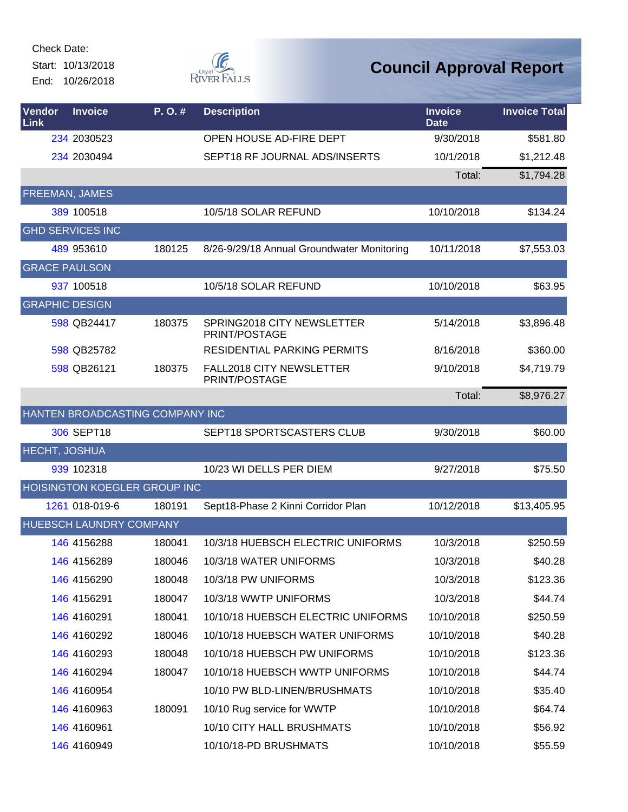Start: 10/13/2018 End: 10/26/2018



| Vendor<br>Link        | <b>Invoice</b>                 | P.O.#                               | <b>Description</b>                               | <b>Invoice</b><br><b>Date</b> | <b>Invoice Total</b> |
|-----------------------|--------------------------------|-------------------------------------|--------------------------------------------------|-------------------------------|----------------------|
|                       | 234 2030523                    |                                     | OPEN HOUSE AD-FIRE DEPT                          | 9/30/2018                     | \$581.80             |
|                       | 234 2030494                    |                                     | SEPT18 RF JOURNAL ADS/INSERTS                    | 10/1/2018                     | \$1,212.48           |
|                       |                                |                                     |                                                  | Total:                        | \$1,794.28           |
| <b>FREEMAN, JAMES</b> |                                |                                     |                                                  |                               |                      |
|                       | 389 100518                     |                                     | 10/5/18 SOLAR REFUND                             | 10/10/2018                    | \$134.24             |
|                       | <b>GHD SERVICES INC</b>        |                                     |                                                  |                               |                      |
|                       | 489 953610                     | 180125                              | 8/26-9/29/18 Annual Groundwater Monitoring       | 10/11/2018                    | \$7,553.03           |
| <b>GRACE PAULSON</b>  |                                |                                     |                                                  |                               |                      |
|                       | 937 100518                     |                                     | 10/5/18 SOLAR REFUND                             | 10/10/2018                    | \$63.95              |
| <b>GRAPHIC DESIGN</b> |                                |                                     |                                                  |                               |                      |
|                       | 598 QB24417                    | 180375                              | SPRING2018 CITY NEWSLETTER<br>PRINT/POSTAGE      | 5/14/2018                     | \$3,896.48           |
|                       | 598 QB25782                    |                                     | <b>RESIDENTIAL PARKING PERMITS</b>               | 8/16/2018                     | \$360.00             |
|                       | 598 QB26121                    | 180375                              | <b>FALL2018 CITY NEWSLETTER</b><br>PRINT/POSTAGE | 9/10/2018                     | \$4,719.79           |
|                       |                                |                                     |                                                  | Total:                        | \$8,976.27           |
|                       |                                | HANTEN BROADCASTING COMPANY INC     |                                                  |                               |                      |
|                       | 306 SEPT18                     |                                     | SEPT18 SPORTSCASTERS CLUB                        | 9/30/2018                     | \$60.00              |
| <b>HECHT, JOSHUA</b>  |                                |                                     |                                                  |                               |                      |
|                       | 939 102318                     |                                     | 10/23 WI DELLS PER DIEM                          | 9/27/2018                     | \$75.50              |
|                       |                                | <b>HOISINGTON KOEGLER GROUP INC</b> |                                                  |                               |                      |
|                       | 1261 018-019-6                 | 180191                              | Sept18-Phase 2 Kinni Corridor Plan               | 10/12/2018                    | \$13,405.95          |
|                       | <b>HUEBSCH LAUNDRY COMPANY</b> |                                     |                                                  |                               |                      |
|                       | 146 4156288                    | 180041                              | 10/3/18 HUEBSCH ELECTRIC UNIFORMS                | 10/3/2018                     | \$250.59             |
|                       | 146 4156289                    | 180046                              | 10/3/18 WATER UNIFORMS                           | 10/3/2018                     | \$40.28              |
|                       | 146 4156290                    | 180048                              | 10/3/18 PW UNIFORMS                              | 10/3/2018                     | \$123.36             |
|                       | 146 4156291                    | 180047                              | 10/3/18 WWTP UNIFORMS                            | 10/3/2018                     | \$44.74              |
|                       | 146 4160291                    | 180041                              | 10/10/18 HUEBSCH ELECTRIC UNIFORMS               | 10/10/2018                    | \$250.59             |
|                       | 146 4160292                    | 180046                              | 10/10/18 HUEBSCH WATER UNIFORMS                  | 10/10/2018                    | \$40.28              |
|                       | 146 4160293                    | 180048                              | 10/10/18 HUEBSCH PW UNIFORMS                     | 10/10/2018                    | \$123.36             |
|                       | 146 4160294                    | 180047                              | 10/10/18 HUEBSCH WWTP UNIFORMS                   | 10/10/2018                    | \$44.74              |
|                       | 146 4160954                    |                                     | 10/10 PW BLD-LINEN/BRUSHMATS                     | 10/10/2018                    | \$35.40              |
|                       | 146 4160963                    | 180091                              | 10/10 Rug service for WWTP                       | 10/10/2018                    | \$64.74              |
|                       | 146 4160961                    |                                     | 10/10 CITY HALL BRUSHMATS                        | 10/10/2018                    | \$56.92              |
|                       | 146 4160949                    |                                     | 10/10/18-PD BRUSHMATS                            | 10/10/2018                    | \$55.59              |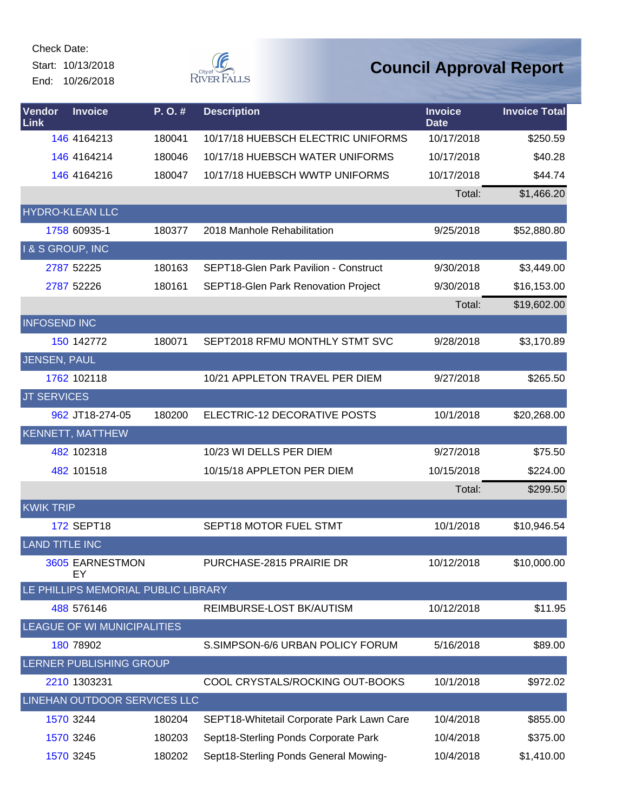Start: 10/13/2018 End: 10/26/2018



| <b>Vendor</b><br>Link | <b>Invoice</b>                      | P.O.#  | <b>Description</b>                           | <b>Invoice</b><br><b>Date</b> | <b>Invoice Total</b> |
|-----------------------|-------------------------------------|--------|----------------------------------------------|-------------------------------|----------------------|
|                       | 146 4164213                         | 180041 | 10/17/18 HUEBSCH ELECTRIC UNIFORMS           | 10/17/2018                    | \$250.59             |
|                       | 146 4164214                         | 180046 | 10/17/18 HUEBSCH WATER UNIFORMS              | 10/17/2018                    | \$40.28              |
|                       | 146 4164216                         | 180047 | 10/17/18 HUEBSCH WWTP UNIFORMS               | 10/17/2018                    | \$44.74              |
|                       |                                     |        |                                              | Total:                        | \$1,466.20           |
|                       | <b>HYDRO-KLEAN LLC</b>              |        |                                              |                               |                      |
|                       | 1758 60935-1                        | 180377 | 2018 Manhole Rehabilitation                  | 9/25/2018                     | \$52,880.80          |
| I & S GROUP, INC      |                                     |        |                                              |                               |                      |
|                       | 2787 52225                          | 180163 | <b>SEPT18-Glen Park Pavilion - Construct</b> | 9/30/2018                     | \$3,449.00           |
|                       | 2787 52226                          | 180161 | SEPT18-Glen Park Renovation Project          | 9/30/2018                     | \$16,153.00          |
|                       |                                     |        |                                              | Total:                        | \$19,602.00          |
| <b>INFOSEND INC</b>   |                                     |        |                                              |                               |                      |
|                       | 150 142772                          | 180071 | SEPT2018 RFMU MONTHLY STMT SVC               | 9/28/2018                     | \$3,170.89           |
| JENSEN, PAUL          |                                     |        |                                              |                               |                      |
|                       | 1762 102118                         |        | 10/21 APPLETON TRAVEL PER DIEM               | 9/27/2018                     | \$265.50             |
| <b>JT SERVICES</b>    |                                     |        |                                              |                               |                      |
|                       | 962 JT18-274-05                     | 180200 | ELECTRIC-12 DECORATIVE POSTS                 | 10/1/2018                     | \$20,268.00          |
|                       | <b>KENNETT, MATTHEW</b>             |        |                                              |                               |                      |
|                       | 482 102318                          |        | 10/23 WI DELLS PER DIEM                      | 9/27/2018                     | \$75.50              |
|                       | 482 101518                          |        | 10/15/18 APPLETON PER DIEM                   | 10/15/2018                    | \$224.00             |
|                       |                                     |        |                                              | Total:                        | \$299.50             |
| <b>KWIK TRIP</b>      |                                     |        |                                              |                               |                      |
|                       | <b>172 SEPT18</b>                   |        | SEPT18 MOTOR FUEL STMT                       | 10/1/2018                     | \$10,946.54          |
| <b>LAND TITLE INC</b> |                                     |        |                                              |                               |                      |
|                       | 3605 EARNESTMON<br>EY               |        | PURCHASE-2815 PRAIRIE DR                     | 10/12/2018                    | \$10,000.00          |
|                       | LE PHILLIPS MEMORIAL PUBLIC LIBRARY |        |                                              |                               |                      |
|                       | 488 576146                          |        | REIMBURSE-LOST BK/AUTISM                     | 10/12/2018                    | \$11.95              |
|                       | LEAGUE OF WI MUNICIPALITIES         |        |                                              |                               |                      |
|                       | 180 78902                           |        | S.SIMPSON-6/6 URBAN POLICY FORUM             | 5/16/2018                     | \$89.00              |
|                       | LERNER PUBLISHING GROUP             |        |                                              |                               |                      |
|                       | 2210 1303231                        |        | COOL CRYSTALS/ROCKING OUT-BOOKS              | 10/1/2018                     | \$972.02             |
|                       | LINEHAN OUTDOOR SERVICES LLC        |        |                                              |                               |                      |
|                       | 1570 3244                           | 180204 | SEPT18-Whitetail Corporate Park Lawn Care    | 10/4/2018                     | \$855.00             |
|                       | 1570 3246                           | 180203 | Sept18-Sterling Ponds Corporate Park         | 10/4/2018                     | \$375.00             |
|                       | 1570 3245                           | 180202 | Sept18-Sterling Ponds General Mowing-        | 10/4/2018                     | \$1,410.00           |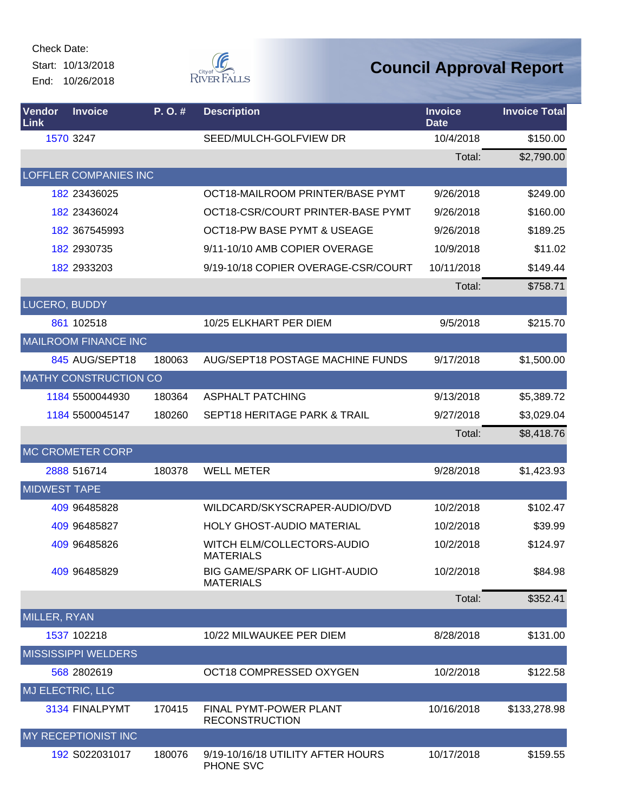Start: 10/13/2018 End: 10/26/2018



| Vendor<br>Link      | <b>Invoice</b>               | P.O.#  | <b>Description</b>                                | <b>Invoice</b><br><b>Date</b> | <b>Invoice Total</b> |
|---------------------|------------------------------|--------|---------------------------------------------------|-------------------------------|----------------------|
|                     | 1570 3247                    |        | SEED/MULCH-GOLFVIEW DR                            | 10/4/2018                     | \$150.00             |
|                     |                              |        |                                                   | Total:                        | \$2,790.00           |
|                     | <b>LOFFLER COMPANIES INC</b> |        |                                                   |                               |                      |
|                     | 182 23436025                 |        | OCT18-MAILROOM PRINTER/BASE PYMT                  | 9/26/2018                     | \$249.00             |
|                     | 182 23436024                 |        | OCT18-CSR/COURT PRINTER-BASE PYMT                 | 9/26/2018                     | \$160.00             |
|                     | 182 367545993                |        | <b>OCT18-PW BASE PYMT &amp; USEAGE</b>            | 9/26/2018                     | \$189.25             |
|                     | 182 2930735                  |        | 9/11-10/10 AMB COPIER OVERAGE                     | 10/9/2018                     | \$11.02              |
|                     | 182 2933203                  |        | 9/19-10/18 COPIER OVERAGE-CSR/COURT               | 10/11/2018                    | \$149.44             |
|                     |                              |        |                                                   | Total:                        | \$758.71             |
| LUCERO, BUDDY       |                              |        |                                                   |                               |                      |
|                     | 861 102518                   |        | 10/25 ELKHART PER DIEM                            | 9/5/2018                      | \$215.70             |
|                     | <b>MAILROOM FINANCE INC</b>  |        |                                                   |                               |                      |
|                     | 845 AUG/SEPT18               | 180063 | <b>AUG/SEPT18 POSTAGE MACHINE FUNDS</b>           | 9/17/2018                     | \$1,500.00           |
|                     | <b>MATHY CONSTRUCTION CO</b> |        |                                                   |                               |                      |
|                     | 1184 5500044930              | 180364 | <b>ASPHALT PATCHING</b>                           | 9/13/2018                     | \$5,389.72           |
|                     | 1184 5500045147              | 180260 | <b>SEPT18 HERITAGE PARK &amp; TRAIL</b>           | 9/27/2018                     | \$3,029.04           |
|                     |                              |        |                                                   | Total:                        | \$8,418.76           |
|                     | <b>MC CROMETER CORP</b>      |        |                                                   |                               |                      |
|                     | 2888 516714                  | 180378 | <b>WELL METER</b>                                 | 9/28/2018                     | \$1,423.93           |
| <b>MIDWEST TAPE</b> |                              |        |                                                   |                               |                      |
|                     | 409 96485828                 |        | WILDCARD/SKYSCRAPER-AUDIO/DVD                     | 10/2/2018                     | \$102.47             |
|                     | 409 96485827                 |        | <b>HOLY GHOST-AUDIO MATERIAL</b>                  | 10/2/2018                     | \$39.99              |
|                     | 409 96485826                 |        | WITCH ELM/COLLECTORS-AUDIO<br><b>MATERIALS</b>    | 10/2/2018                     | \$124.97             |
|                     | 409 96485829                 |        | BIG GAME/SPARK OF LIGHT-AUDIO<br><b>MATERIALS</b> | 10/2/2018                     | \$84.98              |
|                     |                              |        |                                                   | Total:                        | \$352.41             |
| MILLER, RYAN        |                              |        |                                                   |                               |                      |
|                     | 1537 102218                  |        | 10/22 MILWAUKEE PER DIEM                          | 8/28/2018                     | \$131.00             |
|                     | <b>MISSISSIPPI WELDERS</b>   |        |                                                   |                               |                      |
|                     | 568 2802619                  |        | OCT18 COMPRESSED OXYGEN                           | 10/2/2018                     | \$122.58             |
| MJ ELECTRIC, LLC    |                              |        |                                                   |                               |                      |
|                     | 3134 FINALPYMT               | 170415 | FINAL PYMT-POWER PLANT<br><b>RECONSTRUCTION</b>   | 10/16/2018                    | \$133,278.98         |
|                     | MY RECEPTIONIST INC          |        |                                                   |                               |                      |
|                     | 192 S022031017               | 180076 | 9/19-10/16/18 UTILITY AFTER HOURS<br>PHONE SVC    | 10/17/2018                    | \$159.55             |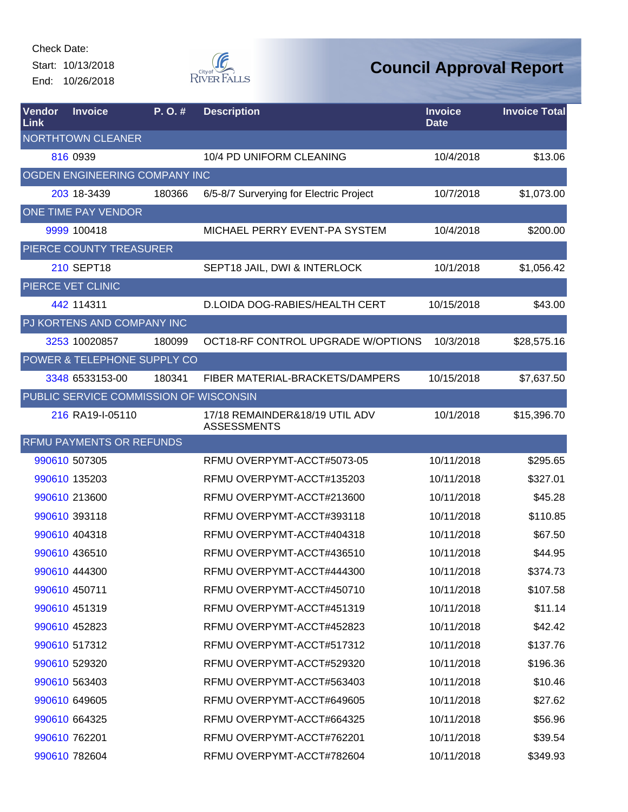Start: 10/13/2018 End: 10/26/2018



| Vendor<br>Link | <b>Invoice</b>                         | P. O. # | <b>Description</b>                                   | <b>Invoice</b><br><b>Date</b> | <b>Invoice Total</b> |
|----------------|----------------------------------------|---------|------------------------------------------------------|-------------------------------|----------------------|
|                | <b>NORTHTOWN CLEANER</b>               |         |                                                      |                               |                      |
|                | 816 0939                               |         | 10/4 PD UNIFORM CLEANING                             | 10/4/2018                     | \$13.06              |
|                | OGDEN ENGINEERING COMPANY INC          |         |                                                      |                               |                      |
|                | 203 18-3439                            | 180366  | 6/5-8/7 Surverying for Electric Project              | 10/7/2018                     | \$1,073.00           |
|                | ONE TIME PAY VENDOR                    |         |                                                      |                               |                      |
|                | 9999 100418                            |         | MICHAEL PERRY EVENT-PA SYSTEM                        | 10/4/2018                     | \$200.00             |
|                | PIERCE COUNTY TREASURER                |         |                                                      |                               |                      |
|                | <b>210 SEPT18</b>                      |         | SEPT18 JAIL, DWI & INTERLOCK                         | 10/1/2018                     | \$1,056.42           |
|                | PIERCE VET CLINIC                      |         |                                                      |                               |                      |
|                | 442 114311                             |         | D.LOIDA DOG-RABIES/HEALTH CERT                       | 10/15/2018                    | \$43.00              |
|                | PJ KORTENS AND COMPANY INC             |         |                                                      |                               |                      |
|                | 3253 10020857                          | 180099  | OCT18-RF CONTROL UPGRADE W/OPTIONS                   | 10/3/2018                     | \$28,575.16          |
|                | POWER & TELEPHONE SUPPLY CO            |         |                                                      |                               |                      |
|                | 3348 6533153-00                        | 180341  | FIBER MATERIAL-BRACKETS/DAMPERS                      | 10/15/2018                    | \$7,637.50           |
|                | PUBLIC SERVICE COMMISSION OF WISCONSIN |         |                                                      |                               |                      |
|                | 216 RA19-I-05110                       |         | 17/18 REMAINDER&18/19 UTIL ADV<br><b>ASSESSMENTS</b> | 10/1/2018                     | \$15,396.70          |
|                | <b>RFMU PAYMENTS OR REFUNDS</b>        |         |                                                      |                               |                      |
|                | 990610 507305                          |         | RFMU OVERPYMT-ACCT#5073-05                           | 10/11/2018                    | \$295.65             |
|                | 990610 135203                          |         | RFMU OVERPYMT-ACCT#135203                            | 10/11/2018                    | \$327.01             |
|                | 990610 213600                          |         | RFMU OVERPYMT-ACCT#213600                            | 10/11/2018                    | \$45.28              |
|                | 990610 393118                          |         | RFMU OVERPYMT-ACCT#393118                            | 10/11/2018                    | \$110.85             |
|                | 990610 404318                          |         | RFMU OVERPYMT-ACCT#404318                            | 10/11/2018                    | \$67.50              |
|                | 990610 436510                          |         | RFMU OVERPYMT-ACCT#436510                            | 10/11/2018                    | \$44.95              |
|                | 990610 444300                          |         | RFMU OVERPYMT-ACCT#444300                            | 10/11/2018                    | \$374.73             |
|                | 990610 450711                          |         | RFMU OVERPYMT-ACCT#450710                            | 10/11/2018                    | \$107.58             |
|                | 990610 451319                          |         | RFMU OVERPYMT-ACCT#451319                            | 10/11/2018                    | \$11.14              |
|                | 990610 452823                          |         | RFMU OVERPYMT-ACCT#452823                            | 10/11/2018                    | \$42.42              |
|                | 990610 517312                          |         | RFMU OVERPYMT-ACCT#517312                            | 10/11/2018                    | \$137.76             |
|                | 990610 529320                          |         | RFMU OVERPYMT-ACCT#529320                            | 10/11/2018                    | \$196.36             |
|                | 990610 563403                          |         | RFMU OVERPYMT-ACCT#563403                            | 10/11/2018                    | \$10.46              |
|                | 990610 649605                          |         | RFMU OVERPYMT-ACCT#649605                            | 10/11/2018                    | \$27.62              |
|                | 990610 664325                          |         | RFMU OVERPYMT-ACCT#664325                            | 10/11/2018                    | \$56.96              |
|                | 990610 762201                          |         | RFMU OVERPYMT-ACCT#762201                            | 10/11/2018                    | \$39.54              |
|                | 990610 782604                          |         | RFMU OVERPYMT-ACCT#782604                            | 10/11/2018                    | \$349.93             |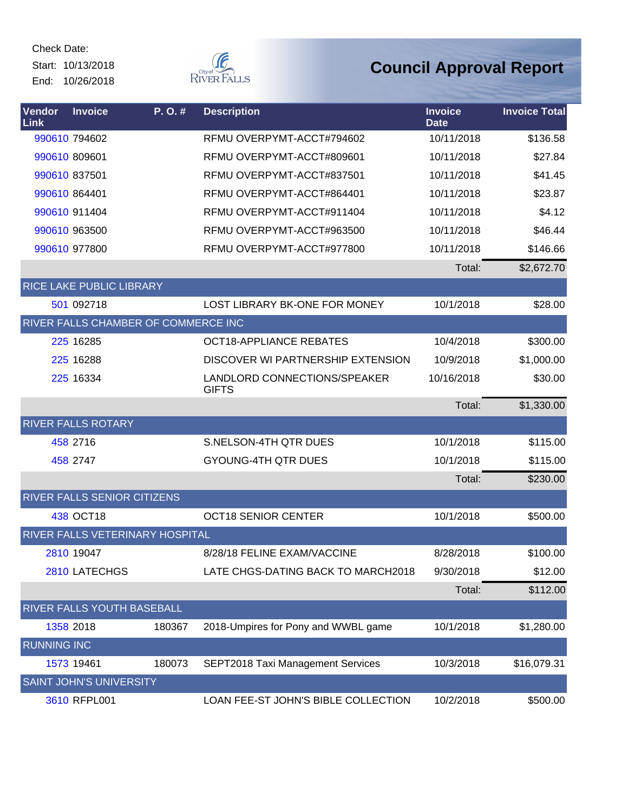Start: 10/13/2018 End: 10/26/2018



| Vendor<br>Link     | <b>Invoice</b>                      | P.O.#  | <b>Description</b>                           | <b>Invoice</b><br><b>Date</b> | <b>Invoice Total</b> |
|--------------------|-------------------------------------|--------|----------------------------------------------|-------------------------------|----------------------|
|                    | 990610 794602                       |        | RFMU OVERPYMT-ACCT#794602                    | 10/11/2018                    | \$136.58             |
|                    | 990610 809601                       |        | RFMU OVERPYMT-ACCT#809601                    | 10/11/2018                    | \$27.84              |
|                    | 990610 837501                       |        | RFMU OVERPYMT-ACCT#837501                    | 10/11/2018                    | \$41.45              |
|                    | 990610 864401                       |        | RFMU OVERPYMT-ACCT#864401                    | 10/11/2018                    | \$23.87              |
|                    | 990610 911404                       |        | RFMU OVERPYMT-ACCT#911404                    | 10/11/2018                    | \$4.12               |
|                    | 990610 963500                       |        | RFMU OVERPYMT-ACCT#963500                    | 10/11/2018                    | \$46.44              |
|                    | 990610 977800                       |        | RFMU OVERPYMT-ACCT#977800                    | 10/11/2018                    | \$146.66             |
|                    |                                     |        |                                              | Total:                        | \$2,672.70           |
|                    | <b>RICE LAKE PUBLIC LIBRARY</b>     |        |                                              |                               |                      |
|                    | 501 092718                          |        | LOST LIBRARY BK-ONE FOR MONEY                | 10/1/2018                     | \$28.00              |
|                    | RIVER FALLS CHAMBER OF COMMERCE INC |        |                                              |                               |                      |
|                    | 225 16285                           |        | <b>OCT18-APPLIANCE REBATES</b>               | 10/4/2018                     | \$300.00             |
|                    | 225 16288                           |        | DISCOVER WI PARTNERSHIP EXTENSION            | 10/9/2018                     | \$1,000.00           |
|                    | 225 16334                           |        | LANDLORD CONNECTIONS/SPEAKER<br><b>GIFTS</b> | 10/16/2018                    | \$30.00              |
|                    |                                     |        |                                              | Total:                        | \$1,330.00           |
|                    | <b>RIVER FALLS ROTARY</b>           |        |                                              |                               |                      |
|                    | 458 2716                            |        | S.NELSON-4TH QTR DUES                        | 10/1/2018                     | \$115.00             |
|                    | 458 2747                            |        | <b>GYOUNG-4TH QTR DUES</b>                   | 10/1/2018                     | \$115.00             |
|                    |                                     |        |                                              | Total:                        | \$230.00             |
|                    | RIVER FALLS SENIOR CITIZENS         |        |                                              |                               |                      |
|                    | 438 OCT18                           |        | <b>OCT18 SENIOR CENTER</b>                   | 10/1/2018                     | \$500.00             |
|                    | RIVER FALLS VETERINARY HOSPITAL     |        |                                              |                               |                      |
|                    | 2810 19047                          |        | 8/28/18 FELINE EXAM/VACCINE                  | 8/28/2018                     | \$100.00             |
|                    | 2810 LATECHGS                       |        | LATE CHGS-DATING BACK TO MARCH2018           | 9/30/2018                     | \$12.00              |
|                    |                                     |        |                                              | Total:                        | \$112.00             |
|                    | RIVER FALLS YOUTH BASEBALL          |        |                                              |                               |                      |
|                    | 1358 2018                           | 180367 | 2018-Umpires for Pony and WWBL game          | 10/1/2018                     | \$1,280.00           |
| <b>RUNNING INC</b> |                                     |        |                                              |                               |                      |
|                    | 1573 19461                          | 180073 | SEPT2018 Taxi Management Services            | 10/3/2018                     | \$16,079.31          |
|                    | <b>SAINT JOHN'S UNIVERSITY</b>      |        |                                              |                               |                      |
|                    | 3610 RFPL001                        |        | LOAN FEE-ST JOHN'S BIBLE COLLECTION          | 10/2/2018                     | \$500.00             |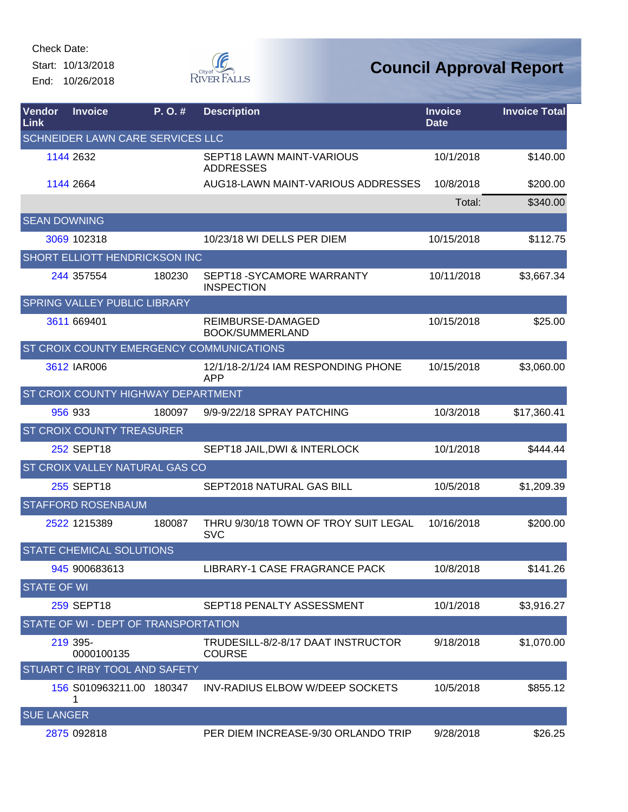Check Date: Start: 10/13/2018

End: 10/26/2018



| <b>Vendor</b><br>Link | <b>Invoice</b>                       | P. O. # | <b>Description</b>                                  | <b>Invoice</b><br><b>Date</b> | <b>Invoice Total</b> |
|-----------------------|--------------------------------------|---------|-----------------------------------------------------|-------------------------------|----------------------|
|                       | SCHNEIDER LAWN CARE SERVICES LLC     |         |                                                     |                               |                      |
|                       | 1144 2632                            |         | SEPT18 LAWN MAINT-VARIOUS<br><b>ADDRESSES</b>       | 10/1/2018                     | \$140.00             |
|                       | 1144 2664                            |         | AUG18-LAWN MAINT-VARIOUS ADDRESSES                  | 10/8/2018                     | \$200.00             |
|                       |                                      |         |                                                     | Total:                        | \$340.00             |
| <b>SEAN DOWNING</b>   |                                      |         |                                                     |                               |                      |
|                       | 3069 102318                          |         | 10/23/18 WI DELLS PER DIEM                          | 10/15/2018                    | \$112.75             |
|                       | SHORT ELLIOTT HENDRICKSON INC        |         |                                                     |                               |                      |
|                       | 244 357554                           | 180230  | SEPT18-SYCAMORE WARRANTY<br><b>INSPECTION</b>       | 10/11/2018                    | \$3,667.34           |
|                       | SPRING VALLEY PUBLIC LIBRARY         |         |                                                     |                               |                      |
|                       | 3611 669401                          |         | REIMBURSE-DAMAGED<br>BOOK/SUMMERLAND                | 10/15/2018                    | \$25.00              |
|                       |                                      |         | ST CROIX COUNTY EMERGENCY COMMUNICATIONS            |                               |                      |
|                       | 3612 IAR006                          |         | 12/1/18-2/1/24 IAM RESPONDING PHONE<br><b>APP</b>   | 10/15/2018                    | \$3,060.00           |
|                       | ST CROIX COUNTY HIGHWAY DEPARTMENT   |         |                                                     |                               |                      |
|                       | 956 933                              | 180097  | 9/9-9/22/18 SPRAY PATCHING                          | 10/3/2018                     | \$17,360.41          |
|                       | <b>ST CROIX COUNTY TREASURER</b>     |         |                                                     |                               |                      |
|                       | 252 SEPT18                           |         | SEPT18 JAIL, DWI & INTERLOCK                        | 10/1/2018                     | \$444.44             |
|                       | ST CROIX VALLEY NATURAL GAS CO       |         |                                                     |                               |                      |
|                       | 255 SEPT18                           |         | SEPT2018 NATURAL GAS BILL                           | 10/5/2018                     | \$1,209.39           |
|                       | <b>STAFFORD ROSENBAUM</b>            |         |                                                     |                               |                      |
|                       | 2522 1215389                         | 180087  | THRU 9/30/18 TOWN OF TROY SUIT LEGAL<br><b>SVC</b>  | 10/16/2018                    | \$200.00             |
|                       | <b>STATE CHEMICAL SOLUTIONS</b>      |         |                                                     |                               |                      |
|                       | 945 900683613                        |         | LIBRARY-1 CASE FRAGRANCE PACK                       | 10/8/2018                     | \$141.26             |
| <b>STATE OF WI</b>    |                                      |         |                                                     |                               |                      |
|                       | 259 SEPT18                           |         | SEPT18 PENALTY ASSESSMENT                           | 10/1/2018                     | \$3,916.27           |
|                       | STATE OF WI - DEPT OF TRANSPORTATION |         |                                                     |                               |                      |
|                       | 219 395-<br>0000100135               |         | TRUDESILL-8/2-8/17 DAAT INSTRUCTOR<br><b>COURSE</b> | 9/18/2018                     | \$1,070.00           |
|                       | STUART C IRBY TOOL AND SAFETY        |         |                                                     |                               |                      |
|                       | 156 S010963211.00 180347<br>1        |         | INV-RADIUS ELBOW W/DEEP SOCKETS                     | 10/5/2018                     | \$855.12             |
| <b>SUE LANGER</b>     |                                      |         |                                                     |                               |                      |
|                       | 2875 092818                          |         | PER DIEM INCREASE-9/30 ORLANDO TRIP                 | 9/28/2018                     | \$26.25              |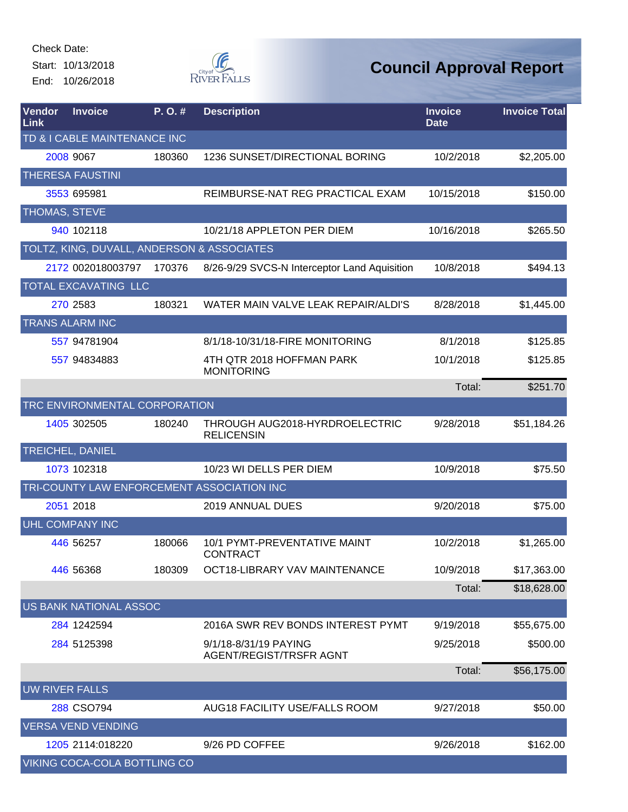Start: 10/13/2018 End: 10/26/2018



| Vendor<br>Link        | <b>Invoice</b>                | P.O.#  | <b>Description</b>                                      | <b>Invoice</b><br><b>Date</b> | <b>Invoice Total</b> |  |  |  |
|-----------------------|-------------------------------|--------|---------------------------------------------------------|-------------------------------|----------------------|--|--|--|
|                       | TD & I CABLE MAINTENANCE INC  |        |                                                         |                               |                      |  |  |  |
|                       | 2008 9067                     | 180360 | 1236 SUNSET/DIRECTIONAL BORING                          | 10/2/2018                     | \$2,205.00           |  |  |  |
|                       | <b>THERESA FAUSTINI</b>       |        |                                                         |                               |                      |  |  |  |
|                       | 3553 695981                   |        | REIMBURSE-NAT REG PRACTICAL EXAM                        | 10/15/2018                    | \$150.00             |  |  |  |
| THOMAS, STEVE         |                               |        |                                                         |                               |                      |  |  |  |
|                       | 940 102118                    |        | 10/21/18 APPLETON PER DIEM                              | 10/16/2018                    | \$265.50             |  |  |  |
|                       |                               |        | TOLTZ, KING, DUVALL, ANDERSON & ASSOCIATES              |                               |                      |  |  |  |
|                       | 2172 002018003797             | 170376 | 8/26-9/29 SVCS-N Interceptor Land Aquisition            | 10/8/2018                     | \$494.13             |  |  |  |
|                       | TOTAL EXCAVATING LLC          |        |                                                         |                               |                      |  |  |  |
|                       | 270 2583                      | 180321 | WATER MAIN VALVE LEAK REPAIR/ALDI'S                     | 8/28/2018                     | \$1,445.00           |  |  |  |
|                       | <b>TRANS ALARM INC</b>        |        |                                                         |                               |                      |  |  |  |
|                       | 557 94781904                  |        | 8/1/18-10/31/18-FIRE MONITORING                         | 8/1/2018                      | \$125.85             |  |  |  |
|                       | 557 94834883                  |        | 4TH QTR 2018 HOFFMAN PARK<br><b>MONITORING</b>          | 10/1/2018                     | \$125.85             |  |  |  |
|                       |                               |        |                                                         | Total:                        | \$251.70             |  |  |  |
|                       | TRC ENVIRONMENTAL CORPORATION |        |                                                         |                               |                      |  |  |  |
|                       | 1405 302505                   | 180240 | THROUGH AUG2018-HYRDROELECTRIC<br><b>RELICENSIN</b>     | 9/28/2018                     | \$51,184.26          |  |  |  |
|                       | <b>TREICHEL, DANIEL</b>       |        |                                                         |                               |                      |  |  |  |
|                       | 1073 102318                   |        | 10/23 WI DELLS PER DIEM                                 | 10/9/2018                     | \$75.50              |  |  |  |
|                       |                               |        | TRI-COUNTY LAW ENFORCEMENT ASSOCIATION INC              |                               |                      |  |  |  |
|                       | 2051 2018                     |        | 2019 ANNUAL DUES                                        | 9/20/2018                     | \$75.00              |  |  |  |
|                       | <b>UHL COMPANY INC</b>        |        |                                                         |                               |                      |  |  |  |
|                       | 446 56257                     | 180066 | <b>10/1 PYMT-PREVENTATIVE MAINT</b><br><b>CONTRACT</b>  | 10/2/2018                     | \$1,265.00           |  |  |  |
|                       | 446 56368                     | 180309 | OCT18-LIBRARY VAV MAINTENANCE                           | 10/9/2018                     | \$17,363.00          |  |  |  |
|                       |                               |        |                                                         | Total:                        | \$18,628.00          |  |  |  |
|                       | <b>US BANK NATIONAL ASSOC</b> |        |                                                         |                               |                      |  |  |  |
|                       | 284 1242594                   |        | 2016A SWR REV BONDS INTEREST PYMT                       | 9/19/2018                     | \$55,675.00          |  |  |  |
|                       | 284 5125398                   |        | 9/1/18-8/31/19 PAYING<br><b>AGENT/REGIST/TRSFR AGNT</b> | 9/25/2018                     | \$500.00             |  |  |  |
|                       |                               |        |                                                         | Total:                        | \$56,175.00          |  |  |  |
| <b>UW RIVER FALLS</b> |                               |        |                                                         |                               |                      |  |  |  |
|                       | 288 CSO794                    |        | AUG18 FACILITY USE/FALLS ROOM                           | 9/27/2018                     | \$50.00              |  |  |  |
|                       | <b>VERSA VEND VENDING</b>     |        |                                                         |                               |                      |  |  |  |
|                       | 1205 2114:018220              |        | 9/26 PD COFFEE                                          | 9/26/2018                     | \$162.00             |  |  |  |
|                       | VIKING COCA-COLA BOTTLING CO  |        |                                                         |                               |                      |  |  |  |